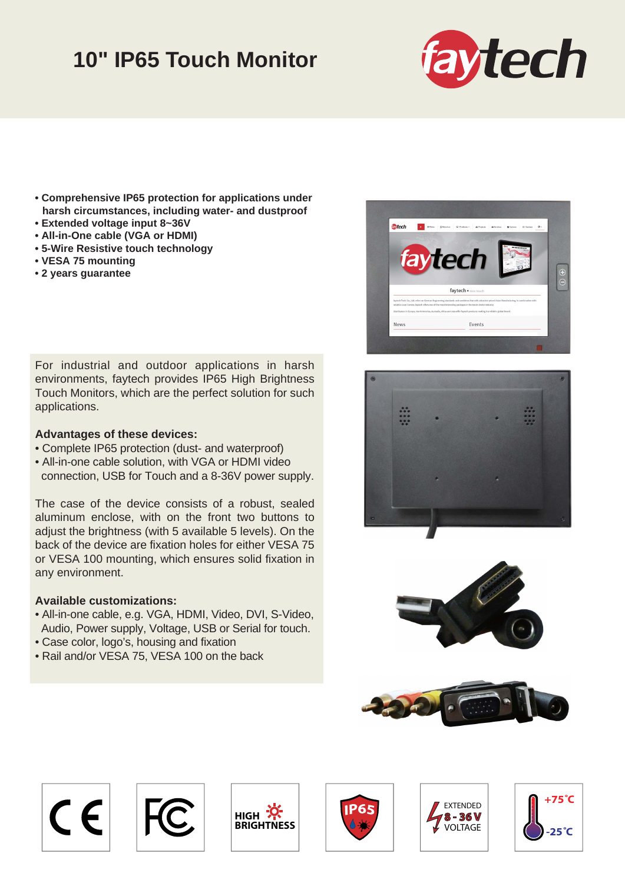## **10" IP65 Touch Monitor**



- **Comprehensive IP65 protection for applications under harsh circumstances, including water- and dustproof**
- **Extended voltage input 8~36V**
- **All-in-One cable (VGA or HDMI)**
- **5-Wire Resistive touch technology**
- **VESA 75 mounting**
- **2 years guarantee**

For industrial and outdoor applications in harsh environments, faytech provides IP65 High Brightness Touch Monitors, which are the perfect solution for such applications.

## **Advantages of these devices:**

- Complete IP65 protection (dust- and waterproof)
- All-in-one cable solution, with VGA or HDMI video connection, USB for Touch and a 8-36V power supply.

The case of the device consists of a robust, sealed aluminum enclose, with on the front two buttons to adjust the brightness (with 5 available 5 levels). On the back of the device are fixation holes for either VESA 75 or VESA 100 mounting, which ensures solid fixation in any environment.

## **Available customizations:**

- All-in-one cable, e.g. VGA, HDMI, Video, DVI, S-Video, Audio, Power supply, Voltage, USB or Serial for touch.
- Case color, logo's, housing and fixation
- Rail and/or VESA 75, VESA 100 on the back